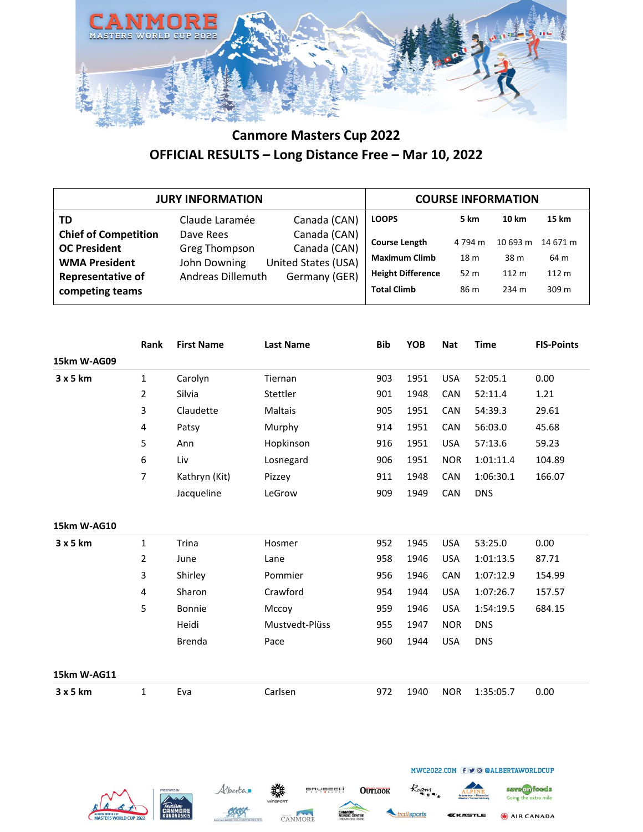

|                                                                                                                           | <b>JURY INFORMATION</b>                                                |                                                                      |                                                                                                |                                 | <b>COURSE INFORMATION</b>                     |                                               |
|---------------------------------------------------------------------------------------------------------------------------|------------------------------------------------------------------------|----------------------------------------------------------------------|------------------------------------------------------------------------------------------------|---------------------------------|-----------------------------------------------|-----------------------------------------------|
| TD                                                                                                                        | Claude Laramée                                                         | Canada (CAN)                                                         | <b>LOOPS</b>                                                                                   | 5 km                            | 10 km                                         | 15 km                                         |
| <b>Chief of Competition</b><br><b>OC President</b><br><b>WMA President</b><br><b>Representative of</b><br>competing teams | Dave Rees<br><b>Greg Thompson</b><br>John Downing<br>Andreas Dillemuth | Canada (CAN)<br>Canada (CAN)<br>United States (USA)<br>Germany (GER) | <b>Course Length</b><br><b>Maximum Climb</b><br><b>Height Difference</b><br><b>Total Climb</b> | 4 794 m<br>18 m<br>52 m<br>86 m | 10 693 m<br>38 m<br>112 <sub>m</sub><br>234 m | 14 671 m<br>64 m<br>112 <sub>m</sub><br>309 m |

|             | Rank           | <b>First Name</b> | <b>Last Name</b> | <b>Bib</b> | <b>YOB</b> | <b>Nat</b> | <b>Time</b> | <b>FIS-Points</b> |
|-------------|----------------|-------------------|------------------|------------|------------|------------|-------------|-------------------|
| 15km W-AG09 |                |                   |                  |            |            |            |             |                   |
| 3x5km       | $\mathbf{1}$   | Carolyn           | Tiernan          | 903        | 1951       | <b>USA</b> | 52:05.1     | 0.00              |
|             | $\overline{2}$ | Silvia            | Stettler         | 901        | 1948       | <b>CAN</b> | 52:11.4     | 1.21              |
|             | 3              | Claudette         | Maltais          | 905        | 1951       | <b>CAN</b> | 54:39.3     | 29.61             |
|             | 4              | Patsy             | Murphy           | 914        | 1951       | CAN        | 56:03.0     | 45.68             |
|             | 5              | Ann               | Hopkinson        | 916        | 1951       | <b>USA</b> | 57:13.6     | 59.23             |
|             | 6              | Liv               | Losnegard        | 906        | 1951       | <b>NOR</b> | 1:01:11.4   | 104.89            |
|             | $\overline{7}$ | Kathryn (Kit)     | Pizzey           | 911        | 1948       | <b>CAN</b> | 1:06:30.1   | 166.07            |
|             |                | Jacqueline        | LeGrow           | 909        | 1949       | CAN        | <b>DNS</b>  |                   |
| 15km W-AG10 |                |                   |                  |            |            |            |             |                   |
| 3 x 5 km    | $\mathbf{1}$   | Trina             | Hosmer           | 952        | 1945       | <b>USA</b> | 53:25.0     | 0.00              |
|             | $\overline{2}$ | June              | Lane             | 958        | 1946       | <b>USA</b> | 1:01:13.5   | 87.71             |
|             | 3              | Shirley           | Pommier          | 956        | 1946       | CAN        | 1:07:12.9   | 154.99            |
|             | 4              | Sharon            | Crawford         | 954        | 1944       | <b>USA</b> | 1:07:26.7   | 157.57            |
|             | 5              | Bonnie            | Mccoy            | 959        | 1946       | <b>USA</b> | 1:54:19.5   | 684.15            |
|             |                | Heidi             | Mustvedt-Plüss   | 955        | 1947       | <b>NOR</b> | <b>DNS</b>  |                   |
|             |                | <b>Brenda</b>     | Pace             | 960        | 1944       | <b>USA</b> | <b>DNS</b>  |                   |
| 15km W-AG11 |                |                   |                  |            |            |            |             |                   |
| 3x5km       | $\mathbf{1}$   | Eva               | Carlsen          | 972        | 1940       | <b>NOR</b> | 1:35:05.7   | 0.00              |







**OUTLOOK** 



Roam

MWC2022.COM (f ⊎ © @ALBERTAWORLDCUP

Going the extra mile AIR CANADA

save on foods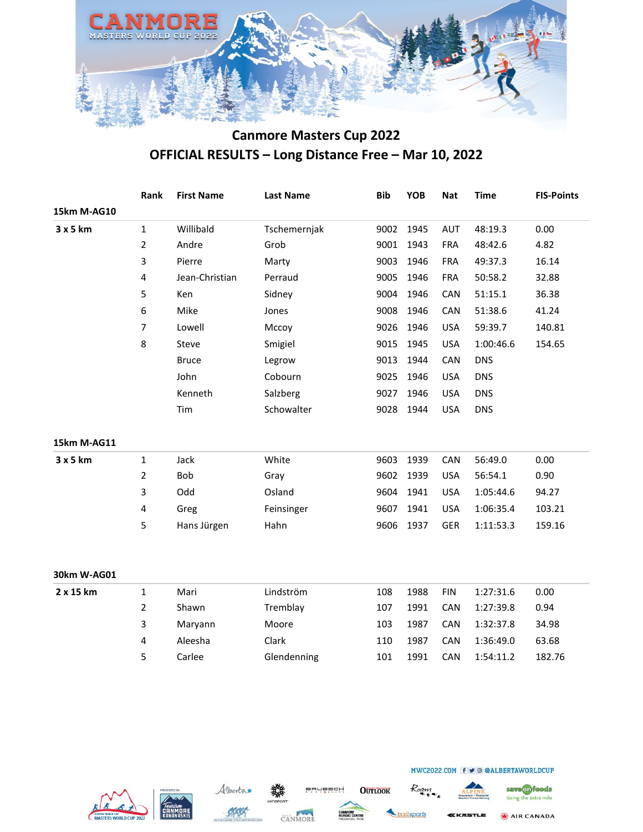

|             | Rank             | <b>First Name</b> | <b>Last Name</b> | <b>Bib</b> | <b>YOB</b> | <b>Nat</b> | <b>Time</b> | <b>FIS-Points</b> |
|-------------|------------------|-------------------|------------------|------------|------------|------------|-------------|-------------------|
| 15km M-AG10 |                  |                   |                  |            |            |            |             |                   |
| 3 x 5 km    | $\mathbf{1}$     | Willibald         | Tschemernjak     | 9002       | 1945       | <b>AUT</b> | 48:19.3     | 0.00              |
|             | 2                | Andre             | Grob             | 9001       | 1943       | <b>FRA</b> | 48:42.6     | 4.82              |
|             | 3                | Pierre            | Marty            | 9003       | 1946       | <b>FRA</b> | 49:37.3     | 16.14             |
|             | 4                | Jean-Christian    | Perraud          | 9005       | 1946       | <b>FRA</b> | 50:58.2     | 32.88             |
|             | 5                | Ken               | Sidney           | 9004       | 1946       | CAN        | 51:15.1     | 36.38             |
|             | $\boldsymbol{6}$ | Mike              | Jones            | 9008       | 1946       | CAN        | 51:38.6     | 41.24             |
|             | $\overline{7}$   | Lowell            | Mccoy            | 9026       | 1946       | <b>USA</b> | 59:39.7     | 140.81            |
|             | 8                | Steve             | Smigiel          | 9015       | 1945       | <b>USA</b> | 1:00:46.6   | 154.65            |
|             |                  | <b>Bruce</b>      | Legrow           | 9013       | 1944       | CAN        | <b>DNS</b>  |                   |
|             |                  | John              | Cobourn          | 9025       | 1946       | <b>USA</b> | <b>DNS</b>  |                   |
|             |                  | Kenneth           | Salzberg         | 9027       | 1946       | <b>USA</b> | <b>DNS</b>  |                   |
|             |                  | Tim               | Schowalter       | 9028       | 1944       | <b>USA</b> | <b>DNS</b>  |                   |
| 15km M-AG11 |                  |                   |                  |            |            |            |             |                   |
| 3 x 5 km    | $\mathbf 1$      | Jack              | White            | 9603       | 1939       | CAN        | 56:49.0     | 0.00              |
|             | 2                | Bob               | Gray             | 9602       | 1939       | <b>USA</b> | 56:54.1     | 0.90              |
|             | 3                | Odd               | Osland           | 9604       | 1941       | <b>USA</b> | 1:05:44.6   | 94.27             |
|             | 4                | Greg              | Feinsinger       | 9607       | 1941       | <b>USA</b> | 1:06:35.4   | 103.21            |
|             | 5                | Hans Jürgen       | Hahn             | 9606       | 1937       | <b>GER</b> | 1:11:53.3   | 159.16            |
| 30km W-AG01 |                  |                   |                  |            |            |            |             |                   |
| 2 x 15 km   | $\mathbf{1}$     | Mari              | Lindström        | 108        | 1988       | <b>FIN</b> | 1:27:31.6   | 0.00              |
|             | $\overline{2}$   | Shawn             | Tremblay         | 107        | 1991       | CAN        | 1:27:39.8   | 0.94              |
|             | 3                | Maryann           | Moore            | 103        | 1987       | CAN        | 1:32:37.8   | 34.98             |







**OUTLOOK** 

4 Aleesha Clark 110 1987 CAN 1:36:49.0 63.68 5 Carlee Glendenning 101 1991 CAN 1:54:11.2 182.76

rilsports

Roan



STLE

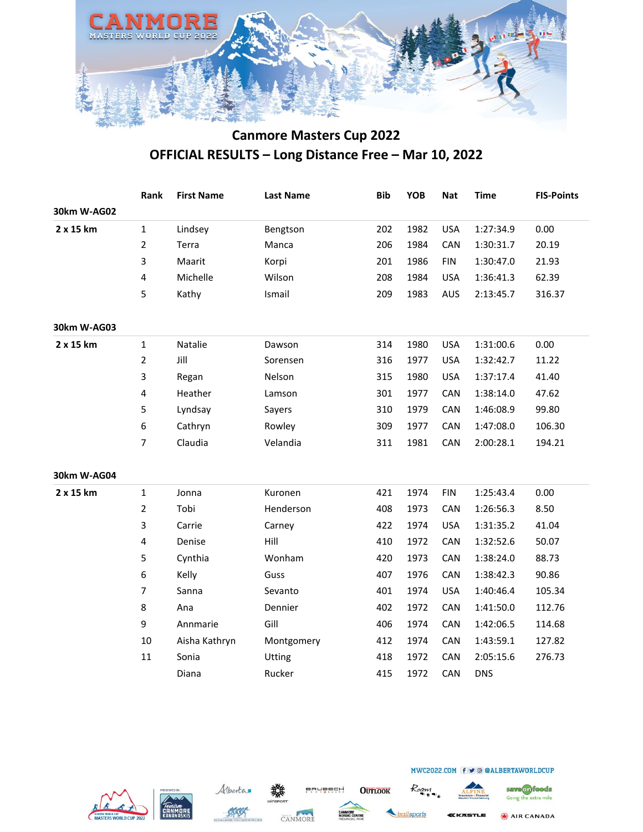

|             | Rank           | <b>First Name</b> | <b>Last Name</b> | <b>Bib</b> | <b>YOB</b> | <b>Nat</b> | <b>Time</b> | <b>FIS-Points</b> |
|-------------|----------------|-------------------|------------------|------------|------------|------------|-------------|-------------------|
| 30km W-AG02 |                |                   |                  |            |            |            |             |                   |
| 2 x 15 km   | $\mathbf 1$    | Lindsey           | Bengtson         | 202        | 1982       | <b>USA</b> | 1:27:34.9   | 0.00              |
|             | $\overline{2}$ | Terra             | Manca            | 206        | 1984       | CAN        | 1:30:31.7   | 20.19             |
|             | 3              | Maarit            | Korpi            | 201        | 1986       | <b>FIN</b> | 1:30:47.0   | 21.93             |
|             | 4              | Michelle          | Wilson           | 208        | 1984       | <b>USA</b> | 1:36:41.3   | 62.39             |
|             | 5              | Kathy             | Ismail           | 209        | 1983       | AUS        | 2:13:45.7   | 316.37            |
| 30km W-AG03 |                |                   |                  |            |            |            |             |                   |
| 2 x 15 km   | $\mathbf{1}$   | Natalie           | Dawson           | 314        | 1980       | <b>USA</b> | 1:31:00.6   | 0.00              |
|             | $\overline{2}$ | Jill              | Sorensen         | 316        | 1977       | <b>USA</b> | 1:32:42.7   | 11.22             |
|             | 3              | Regan             | Nelson           | 315        | 1980       | <b>USA</b> | 1:37:17.4   | 41.40             |
|             | 4              | Heather           | Lamson           | 301        | 1977       | CAN        | 1:38:14.0   | 47.62             |
|             | 5              | Lyndsay           | Sayers           | 310        | 1979       | CAN        | 1:46:08.9   | 99.80             |
|             | 6              | Cathryn           | Rowley           | 309        | 1977       | CAN        | 1:47:08.0   | 106.30            |
|             | 7              | Claudia           | Velandia         | 311        | 1981       | CAN        | 2:00:28.1   | 194.21            |
| 30km W-AG04 |                |                   |                  |            |            |            |             |                   |
| 2 x 15 km   | $\mathbf{1}$   | Jonna             | Kuronen          | 421        | 1974       | <b>FIN</b> | 1:25:43.4   | 0.00              |
|             | $\overline{2}$ | Tobi              | Henderson        | 408        | 1973       | CAN        | 1:26:56.3   | 8.50              |
|             | 3              | Carrie            | Carney           | 422        | 1974       | <b>USA</b> | 1:31:35.2   | 41.04             |
|             | 4              | Denise            | Hill             | 410        | 1972       | CAN        | 1:32:52.6   | 50.07             |
|             | 5              | Cynthia           | Wonham           | 420        | 1973       | CAN        | 1:38:24.0   | 88.73             |
|             | 6              | Kelly             | Guss             | 407        | 1976       | CAN        | 1:38:42.3   | 90.86             |
|             | $\overline{7}$ | Sanna             | Sevanto          | 401        | 1974       | <b>USA</b> | 1:40:46.4   | 105.34            |
|             | 8              | Ana               | Dennier          | 402        | 1972       | CAN        | 1:41:50.0   | 112.76            |
|             | 9              | Annmarie          | Gill             | 406        | 1974       | CAN        | 1:42:06.5   | 114.68            |
|             | 10             | Aisha Kathryn     | Montgomery       | 412        | 1974       | CAN        | 1:43:59.1   | 127.82            |
|             | 11             | Sonia             | Utting           | 418        | 1972       | CAN        | 2:05:15.6   | 276.73            |
|             |                | Diana             | Rucker           | 415        | 1972       | CAN        | <b>DNS</b>  |                   |







**BRUBECH** 

**OUTLOOK** 

railsports

Roam



save on foods

Going the extra mile

KKASTLE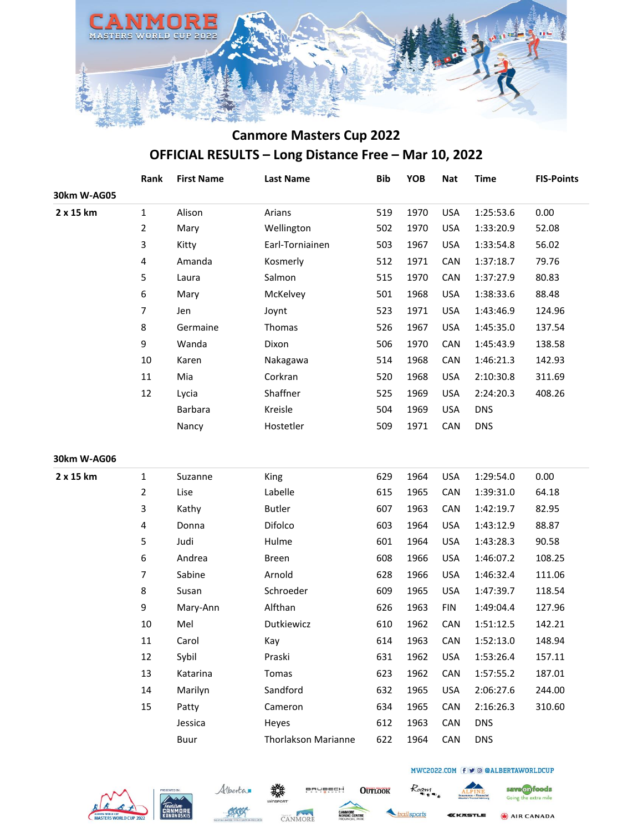

|             | Rank           | <b>First Name</b> | <b>Last Name</b>           | <b>Bib</b> | YOB  | <b>Nat</b> | <b>Time</b> | <b>FIS-Points</b> |
|-------------|----------------|-------------------|----------------------------|------------|------|------------|-------------|-------------------|
| 30km W-AG05 |                |                   |                            |            |      |            |             |                   |
| 2 x 15 km   | $\mathbf{1}$   | Alison            | Arians                     | 519        | 1970 | <b>USA</b> | 1:25:53.6   | 0.00              |
|             | $\overline{2}$ | Mary              | Wellington                 | 502        | 1970 | <b>USA</b> | 1:33:20.9   | 52.08             |
|             | 3              | Kitty             | Earl-Torniainen            | 503        | 1967 | <b>USA</b> | 1:33:54.8   | 56.02             |
|             | 4              | Amanda            | Kosmerly                   | 512        | 1971 | CAN        | 1:37:18.7   | 79.76             |
|             | 5              | Laura             | Salmon                     | 515        | 1970 | CAN        | 1:37:27.9   | 80.83             |
|             | 6              | Mary              | McKelvey                   | 501        | 1968 | <b>USA</b> | 1:38:33.6   | 88.48             |
|             | $\overline{7}$ | Jen               | Joynt                      | 523        | 1971 | <b>USA</b> | 1:43:46.9   | 124.96            |
|             | 8              | Germaine          | Thomas                     | 526        | 1967 | <b>USA</b> | 1:45:35.0   | 137.54            |
|             | 9              | Wanda             | Dixon                      | 506        | 1970 | CAN        | 1:45:43.9   | 138.58            |
|             | 10             | Karen             | Nakagawa                   | 514        | 1968 | CAN        | 1:46:21.3   | 142.93            |
|             | $11\,$         | Mia               | Corkran                    | 520        | 1968 | <b>USA</b> | 2:10:30.8   | 311.69            |
|             | 12             | Lycia             | Shaffner                   | 525        | 1969 | <b>USA</b> | 2:24:20.3   | 408.26            |
|             |                | Barbara           | Kreisle                    | 504        | 1969 | <b>USA</b> | <b>DNS</b>  |                   |
|             |                | Nancy             | Hostetler                  | 509        | 1971 | CAN        | <b>DNS</b>  |                   |
| 30km W-AG06 |                |                   |                            |            |      |            |             |                   |
| 2 x 15 km   | $\mathbf{1}$   | Suzanne           | King                       | 629        | 1964 | <b>USA</b> | 1:29:54.0   | 0.00              |
|             | $\overline{2}$ | Lise              | Labelle                    | 615        | 1965 | CAN        | 1:39:31.0   | 64.18             |
|             | 3              | Kathy             | <b>Butler</b>              | 607        | 1963 | CAN        | 1:42:19.7   | 82.95             |
|             | 4              | Donna             | Difolco                    | 603        | 1964 | <b>USA</b> | 1:43:12.9   | 88.87             |
|             | 5              | Judi              | Hulme                      | 601        | 1964 | <b>USA</b> | 1:43:28.3   | 90.58             |
|             | 6              | Andrea            | <b>Breen</b>               | 608        | 1966 | <b>USA</b> | 1:46:07.2   | 108.25            |
|             | $\overline{7}$ | Sabine            | Arnold                     | 628        | 1966 | <b>USA</b> | 1:46:32.4   | 111.06            |
|             | 8              | Susan             | Schroeder                  | 609        | 1965 | <b>USA</b> | 1:47:39.7   | 118.54            |
|             | 9              | Mary-Ann          | Alfthan                    | 626        | 1963 | <b>FIN</b> | 1:49:04.4   | 127.96            |
|             | 10             | Mel               | Dutkiewicz                 | 610        | 1962 | CAN        | 1:51:12.5   | 142.21            |
|             | 11             | Carol             | Kay                        | 614        | 1963 | CAN        | 1:52:13.0   | 148.94            |
|             | 12             | Sybil             | Praski                     | 631        | 1962 | <b>USA</b> | 1:53:26.4   | 157.11            |
|             | 13             | Katarina          | Tomas                      | 623        | 1962 | CAN        | 1:57:55.2   | 187.01            |
|             | 14             | Marilyn           | Sandford                   | 632        | 1965 | <b>USA</b> | 2:06:27.6   | 244.00            |
|             | 15             | Patty             | Cameron                    | 634        | 1965 | <b>CAN</b> | 2:16:26.3   | 310.60            |
|             |                | Jessica           | Heyes                      | 612        | 1963 | CAN        | <b>DNS</b>  |                   |
|             |                | Buur              | <b>Thorlakson Marianne</b> | 622        | 1964 | CAN        | <b>DNS</b>  |                   |







BRUBECH

**OUTLOOK** 

ailsports

Roam

AIR CANADA **(KASTLE** 

MWC2022.COM f v @ @ALBERTAWORLDCUP

save on foods

Going the extra mile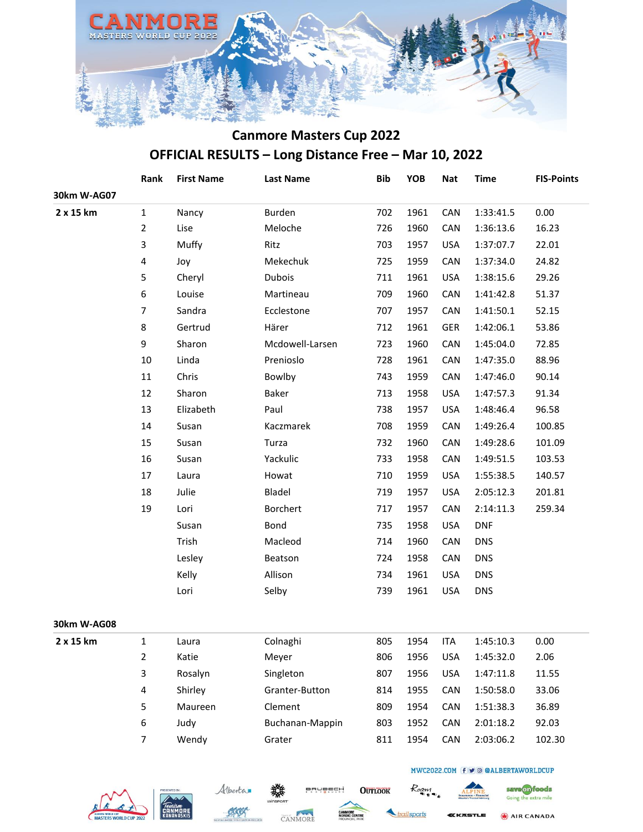

|             | Rank           | <b>First Name</b> | <b>Last Name</b> | <b>Bib</b> | YOB  | <b>Nat</b> | <b>Time</b> | <b>FIS-Points</b> |
|-------------|----------------|-------------------|------------------|------------|------|------------|-------------|-------------------|
| 30km W-AG07 |                |                   |                  |            |      |            |             |                   |
| 2 x 15 km   | $1\,$          | Nancy             | Burden           | 702        | 1961 | CAN        | 1:33:41.5   | 0.00              |
|             | $\overline{2}$ | Lise              | Meloche          | 726        | 1960 | CAN        | 1:36:13.6   | 16.23             |
|             | 3              | Muffy             | Ritz             | 703        | 1957 | <b>USA</b> | 1:37:07.7   | 22.01             |
|             | 4              | Joy               | Mekechuk         | 725        | 1959 | CAN        | 1:37:34.0   | 24.82             |
|             | 5              | Cheryl            | Dubois           | 711        | 1961 | <b>USA</b> | 1:38:15.6   | 29.26             |
|             | 6              | Louise            | Martineau        | 709        | 1960 | CAN        | 1:41:42.8   | 51.37             |
|             | 7              | Sandra            | Ecclestone       | 707        | 1957 | CAN        | 1:41:50.1   | 52.15             |
|             | 8              | Gertrud           | Härer            | 712        | 1961 | GER        | 1:42:06.1   | 53.86             |
|             | 9              | Sharon            | Mcdowell-Larsen  | 723        | 1960 | CAN        | 1:45:04.0   | 72.85             |
|             | 10             | Linda             | Prenioslo        | 728        | 1961 | CAN        | 1:47:35.0   | 88.96             |
|             | 11             | Chris             | Bowlby           | 743        | 1959 | CAN        | 1:47:46.0   | 90.14             |
|             | 12             | Sharon            | <b>Baker</b>     | 713        | 1958 | <b>USA</b> | 1:47:57.3   | 91.34             |
|             | 13             | Elizabeth         | Paul             | 738        | 1957 | <b>USA</b> | 1:48:46.4   | 96.58             |
|             | 14             | Susan             | Kaczmarek        | 708        | 1959 | CAN        | 1:49:26.4   | 100.85            |
|             | 15             | Susan             | Turza            | 732        | 1960 | CAN        | 1:49:28.6   | 101.09            |
|             | 16             | Susan             | Yackulic         | 733        | 1958 | CAN        | 1:49:51.5   | 103.53            |
|             | 17             | Laura             | Howat            | 710        | 1959 | <b>USA</b> | 1:55:38.5   | 140.57            |
|             | 18             | Julie             | Bladel           | 719        | 1957 | <b>USA</b> | 2:05:12.3   | 201.81            |
|             | 19             | Lori              | Borchert         | 717        | 1957 | CAN        | 2:14:11.3   | 259.34            |
|             |                | Susan             | Bond             | 735        | 1958 | <b>USA</b> | <b>DNF</b>  |                   |
|             |                | Trish             | Macleod          | 714        | 1960 | CAN        | <b>DNS</b>  |                   |
|             |                | Lesley            | Beatson          | 724        | 1958 | CAN        | <b>DNS</b>  |                   |
|             |                | Kelly             | Allison          | 734        | 1961 | <b>USA</b> | <b>DNS</b>  |                   |
|             |                | Lori              | Selby            | 739        | 1961 | <b>USA</b> | <b>DNS</b>  |                   |
|             |                |                   |                  |            |      |            |             |                   |
| 30km W-AG08 |                |                   |                  |            |      |            |             |                   |
| 2 x 15 km   | $\mathbf{1}$   | Laura             | Colnaghi         | 805        | 1954 | <b>ITA</b> | 1:45:10.3   | 0.00              |
|             | $\overline{2}$ | Katie             | Meyer            | 806        | 1956 | <b>USA</b> | 1:45:32.0   | 2.06              |
|             | 3              | Rosalyn           | Singleton        | 807        | 1956 | <b>USA</b> | 1:47:11.8   | 11.55             |
|             | 4              | Shirley           | Granter-Button   | 814        | 1955 | CAN        | 1:50:58.0   | 33.06             |
|             | 5              | Maureen           | Clement          | 809        | 1954 | CAN        | 1:51:38.3   | 36.89             |
|             | 6              | Judy              | Buchanan-Mappin  | 803        | 1952 | CAN        | 2:01:18.2   | 92.03             |
|             | $\overline{7}$ | Wendy             | Grater           | 811        | 1954 | CAN        | 2:03:06.2   | 102.30            |
|             |                |                   |                  |            |      |            |             |                   |







**BRUBECH** 

**OUTLOOK** 



Roam

AIR CANADA **(KASTLE** 

save on foods

Going the extra mile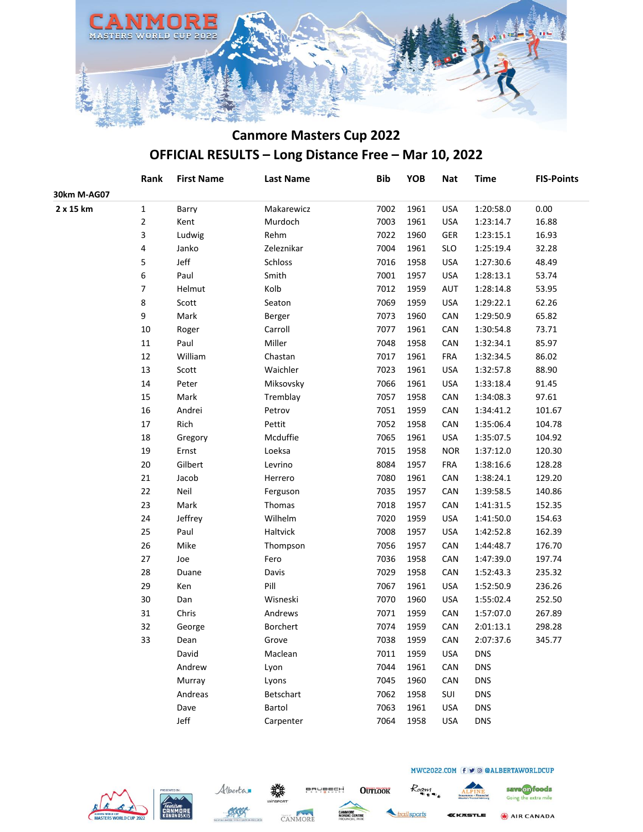

|             | Rank   | <b>First Name</b> | <b>Last Name</b> | <b>Bib</b> | YOB  | <b>Nat</b> | <b>Time</b> | <b>FIS-Points</b> |
|-------------|--------|-------------------|------------------|------------|------|------------|-------------|-------------------|
| 30km M-AG07 |        |                   |                  |            |      |            |             |                   |
| 2 x 15 km   | 1      | Barry             | Makarewicz       | 7002       | 1961 | <b>USA</b> | 1:20:58.0   | 0.00              |
|             | 2      | Kent              | Murdoch          | 7003       | 1961 | <b>USA</b> | 1:23:14.7   | 16.88             |
|             | 3      | Ludwig            | Rehm             | 7022       | 1960 | GER        | 1:23:15.1   | 16.93             |
|             | 4      | Janko             | Zeleznikar       | 7004       | 1961 | <b>SLO</b> | 1:25:19.4   | 32.28             |
|             | 5      | Jeff              | Schloss          | 7016       | 1958 | <b>USA</b> | 1:27:30.6   | 48.49             |
|             | 6      | Paul              | Smith            | 7001       | 1957 | <b>USA</b> | 1:28:13.1   | 53.74             |
|             | 7      | Helmut            | Kolb             | 7012       | 1959 | <b>AUT</b> | 1:28:14.8   | 53.95             |
|             | 8      | Scott             | Seaton           | 7069       | 1959 | <b>USA</b> | 1:29:22.1   | 62.26             |
|             | 9      | Mark              | Berger           | 7073       | 1960 | CAN        | 1:29:50.9   | 65.82             |
|             | $10\,$ | Roger             | Carroll          | 7077       | 1961 | CAN        | 1:30:54.8   | 73.71             |
|             | $11\,$ | Paul              | Miller           | 7048       | 1958 | CAN        | 1:32:34.1   | 85.97             |
|             | 12     | William           | Chastan          | 7017       | 1961 | <b>FRA</b> | 1:32:34.5   | 86.02             |
|             | 13     | Scott             | Waichler         | 7023       | 1961 | <b>USA</b> | 1:32:57.8   | 88.90             |
|             | 14     | Peter             | Miksovsky        | 7066       | 1961 | <b>USA</b> | 1:33:18.4   | 91.45             |
|             | 15     | Mark              | Tremblay         | 7057       | 1958 | CAN        | 1:34:08.3   | 97.61             |
|             | 16     | Andrei            | Petrov           | 7051       | 1959 | CAN        | 1:34:41.2   | 101.67            |
|             | 17     | Rich              | Pettit           | 7052       | 1958 | CAN        | 1:35:06.4   | 104.78            |
|             | 18     | Gregory           | Mcduffie         | 7065       | 1961 | <b>USA</b> | 1:35:07.5   | 104.92            |
|             | 19     | Ernst             | Loeksa           | 7015       | 1958 | <b>NOR</b> | 1:37:12.0   | 120.30            |
|             | 20     | Gilbert           | Levrino          | 8084       | 1957 | <b>FRA</b> | 1:38:16.6   | 128.28            |
|             | 21     | Jacob             | Herrero          | 7080       | 1961 | CAN        | 1:38:24.1   | 129.20            |
|             | 22     | Neil              | Ferguson         | 7035       | 1957 | CAN        | 1:39:58.5   | 140.86            |
|             | 23     | Mark              | Thomas           | 7018       | 1957 | CAN        | 1:41:31.5   | 152.35            |
|             | 24     | Jeffrey           | Wilhelm          | 7020       | 1959 | <b>USA</b> | 1:41:50.0   | 154.63            |
|             | 25     | Paul              | Haltvick         | 7008       | 1957 | <b>USA</b> | 1:42:52.8   | 162.39            |
|             | 26     | Mike              | Thompson         | 7056       | 1957 | CAN        | 1:44:48.7   | 176.70            |
|             | 27     | Joe               | Fero             | 7036       | 1958 | CAN        | 1:47:39.0   | 197.74            |
|             | 28     | Duane             | Davis            | 7029       | 1958 | CAN        | 1:52:43.3   | 235.32            |
|             | 29     | Ken               | Pill             | 7067       | 1961 | <b>USA</b> | 1:52:50.9   | 236.26            |
|             | 30     | Dan               | Wisneski         | 7070       | 1960 | <b>USA</b> | 1:55:02.4   | 252.50            |
|             | 31     | Chris             | Andrews          | 7071       | 1959 | CAN        | 1:57:07.0   | 267.89            |
|             | 32     | George            | Borchert         | 7074       | 1959 | CAN        | 2:01:13.1   | 298.28            |
|             | 33     | Dean              | Grove            | 7038       | 1959 | CAN        | 2:07:37.6   | 345.77            |
|             |        | David             | Maclean          | 7011       | 1959 | <b>USA</b> | <b>DNS</b>  |                   |
|             |        | Andrew            | Lyon             | 7044       | 1961 | CAN        | <b>DNS</b>  |                   |
|             |        | Murray            | Lyons            | 7045       | 1960 | CAN        | <b>DNS</b>  |                   |
|             |        | Andreas           | Betschart        | 7062       | 1958 | SUI        | <b>DNS</b>  |                   |
|             |        | Dave              | Bartol           | 7063       | 1961 | <b>USA</b> | <b>DNS</b>  |                   |
|             |        | Jeff              | Carpenter        | 7064       | 1958 | <b>USA</b> | <b>DNS</b>  |                   |







**BRUBECH** 

**OUTLOOK** 

ailsports

Roam

*EKASTLE* 

MWC2022.COM f v @ @ALBERTAWORLDCUP

AIR CANADA

save on foods

Going the extra mile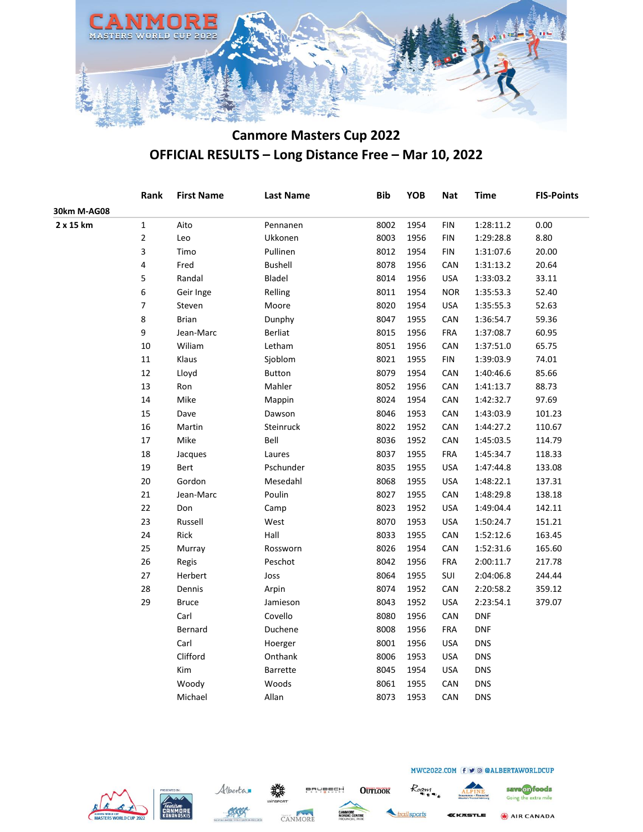

|             | Rank        | <b>First Name</b> | <b>Last Name</b> | <b>Bib</b> | <b>YOB</b> | <b>Nat</b> | <b>Time</b> | <b>FIS-Points</b> |
|-------------|-------------|-------------------|------------------|------------|------------|------------|-------------|-------------------|
| 30km M-AG08 |             |                   |                  |            |            |            |             |                   |
| 2 x 15 km   | $\mathbf 1$ | Aito              | Pennanen         | 8002       | 1954       | <b>FIN</b> | 1:28:11.2   | 0.00              |
|             | 2           | Leo               | Ukkonen          | 8003       | 1956       | <b>FIN</b> | 1:29:28.8   | 8.80              |
|             | 3           | Timo              | Pullinen         | 8012       | 1954       | <b>FIN</b> | 1:31:07.6   | 20.00             |
|             | 4           | Fred              | <b>Bushell</b>   | 8078       | 1956       | <b>CAN</b> | 1:31:13.2   | 20.64             |
|             | 5           | Randal            | Bladel           | 8014       | 1956       | <b>USA</b> | 1:33:03.2   | 33.11             |
|             | 6           | Geir Inge         | Relling          | 8011       | 1954       | <b>NOR</b> | 1:35:53.3   | 52.40             |
|             | 7           | Steven            | Moore            | 8020       | 1954       | <b>USA</b> | 1:35:55.3   | 52.63             |
|             | 8           | <b>Brian</b>      | Dunphy           | 8047       | 1955       | CAN        | 1:36:54.7   | 59.36             |
|             | 9           | Jean-Marc         | <b>Berliat</b>   | 8015       | 1956       | <b>FRA</b> | 1:37:08.7   | 60.95             |
|             | 10          | Wiliam            | Letham           | 8051       | 1956       | CAN        | 1:37:51.0   | 65.75             |
|             | $11\,$      | Klaus             | Sjoblom          | 8021       | 1955       | <b>FIN</b> | 1:39:03.9   | 74.01             |
|             | 12          | Lloyd             | <b>Button</b>    | 8079       | 1954       | CAN        | 1:40:46.6   | 85.66             |
|             | 13          | Ron               | Mahler           | 8052       | 1956       | CAN        | 1:41:13.7   | 88.73             |
|             | 14          | Mike              | Mappin           | 8024       | 1954       | CAN        | 1:42:32.7   | 97.69             |
|             | 15          | Dave              | Dawson           | 8046       | 1953       | CAN        | 1:43:03.9   | 101.23            |
|             | 16          | Martin            | Steinruck        | 8022       | 1952       | CAN        | 1:44:27.2   | 110.67            |
|             | $17\,$      | Mike              | Bell             | 8036       | 1952       | CAN        | 1:45:03.5   | 114.79            |
|             | 18          | Jacques           | Laures           | 8037       | 1955       | <b>FRA</b> | 1:45:34.7   | 118.33            |
|             | 19          | Bert              | Pschunder        | 8035       | 1955       | <b>USA</b> | 1:47:44.8   | 133.08            |
|             | 20          | Gordon            | Mesedahl         | 8068       | 1955       | <b>USA</b> | 1:48:22.1   | 137.31            |
|             | 21          | Jean-Marc         | Poulin           | 8027       | 1955       | CAN        | 1:48:29.8   | 138.18            |
|             | 22          | Don               | Camp             | 8023       | 1952       | <b>USA</b> | 1:49:04.4   | 142.11            |
|             | 23          | Russell           | West             | 8070       | 1953       | <b>USA</b> | 1:50:24.7   | 151.21            |
|             | 24          | Rick              | Hall             | 8033       | 1955       | CAN        | 1:52:12.6   | 163.45            |
|             | 25          | Murray            | Rossworn         | 8026       | 1954       | CAN        | 1:52:31.6   | 165.60            |
|             | 26          | Regis             | Peschot          | 8042       | 1956       | <b>FRA</b> | 2:00:11.7   | 217.78            |
|             | 27          | Herbert           | Joss             | 8064       | 1955       | SUI        | 2:04:06.8   | 244.44            |
|             | 28          | Dennis            | Arpin            | 8074       | 1952       | CAN        | 2:20:58.2   | 359.12            |
|             | 29          | <b>Bruce</b>      | Jamieson         | 8043       | 1952       | <b>USA</b> | 2:23:54.1   | 379.07            |
|             |             | Carl              | Covello          | 8080       | 1956       | CAN        | <b>DNF</b>  |                   |
|             |             | Bernard           | Duchene          | 8008       | 1956       | <b>FRA</b> | <b>DNF</b>  |                   |
|             |             | Carl              | Hoerger          | 8001       | 1956       | <b>USA</b> | <b>DNS</b>  |                   |
|             |             | Clifford          | Onthank          | 8006       | 1953       | <b>USA</b> | <b>DNS</b>  |                   |
|             |             | Kim               | Barrette         | 8045       | 1954       | <b>USA</b> | <b>DNS</b>  |                   |
|             |             | Woody             | Woods            | 8061       | 1955       | CAN        | <b>DNS</b>  |                   |
|             |             | Michael           | Allan            | 8073       | 1953       | CAN        | <b>DNS</b>  |                   |
|             |             |                   |                  |            |            |            |             |                   |







**BRUBECH** 

**OUTLOOK** 

ailsports

Roam

AIR CANADA KKASTLE

save on foods

Going the extra mile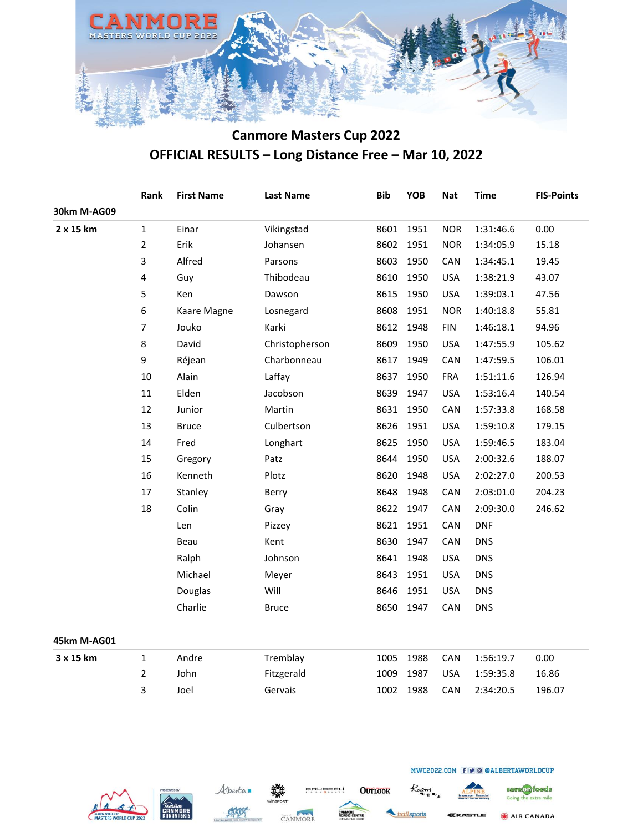

|             | Rank             | <b>First Name</b> | <b>Last Name</b> | <b>Bib</b> | YOB  | <b>Nat</b> | <b>Time</b> | <b>FIS-Points</b> |
|-------------|------------------|-------------------|------------------|------------|------|------------|-------------|-------------------|
| 30km M-AG09 |                  |                   |                  |            |      |            |             |                   |
| 2 x 15 km   | $\mathbf 1$      | Einar             | Vikingstad       | 8601       | 1951 | <b>NOR</b> | 1:31:46.6   | 0.00              |
|             | $\overline{2}$   | Erik              | Johansen         | 8602       | 1951 | <b>NOR</b> | 1:34:05.9   | 15.18             |
|             | 3                | Alfred            | Parsons          | 8603       | 1950 | CAN        | 1:34:45.1   | 19.45             |
|             | 4                | Guy               | Thibodeau        | 8610       | 1950 | <b>USA</b> | 1:38:21.9   | 43.07             |
|             | 5                | Ken               | Dawson           | 8615       | 1950 | <b>USA</b> | 1:39:03.1   | 47.56             |
|             | 6                | Kaare Magne       | Losnegard        | 8608       | 1951 | <b>NOR</b> | 1:40:18.8   | 55.81             |
|             | $\boldsymbol{7}$ | Jouko             | Karki            | 8612       | 1948 | <b>FIN</b> | 1:46:18.1   | 94.96             |
|             | 8                | David             | Christopherson   | 8609       | 1950 | <b>USA</b> | 1:47:55.9   | 105.62            |
|             | 9                | Réjean            | Charbonneau      | 8617       | 1949 | CAN        | 1:47:59.5   | 106.01            |
|             | $10\,$           | Alain             | Laffay           | 8637       | 1950 | <b>FRA</b> | 1:51:11.6   | 126.94            |
|             | 11               | Elden             | Jacobson         | 8639       | 1947 | <b>USA</b> | 1:53:16.4   | 140.54            |
|             | 12               | Junior            | Martin           | 8631       | 1950 | CAN        | 1:57:33.8   | 168.58            |
|             | 13               | <b>Bruce</b>      | Culbertson       | 8626       | 1951 | <b>USA</b> | 1:59:10.8   | 179.15            |
|             | 14               | Fred              | Longhart         | 8625       | 1950 | <b>USA</b> | 1:59:46.5   | 183.04            |
|             | 15               | Gregory           | Patz             | 8644       | 1950 | <b>USA</b> | 2:00:32.6   | 188.07            |
|             | 16               | Kenneth           | Plotz            | 8620       | 1948 | <b>USA</b> | 2:02:27.0   | 200.53            |
|             | 17               | Stanley           | Berry            | 8648       | 1948 | CAN        | 2:03:01.0   | 204.23            |
|             | 18               | Colin             | Gray             | 8622       | 1947 | CAN        | 2:09:30.0   | 246.62            |
|             |                  | Len               | Pizzey           | 8621       | 1951 | CAN        | <b>DNF</b>  |                   |
|             |                  | Beau              | Kent             | 8630       | 1947 | CAN        | <b>DNS</b>  |                   |
|             |                  | Ralph             | Johnson          | 8641       | 1948 | <b>USA</b> | <b>DNS</b>  |                   |
|             |                  | Michael           | Meyer            | 8643       | 1951 | <b>USA</b> | <b>DNS</b>  |                   |
|             |                  | Douglas           | Will             | 8646       | 1951 | <b>USA</b> | <b>DNS</b>  |                   |
|             |                  | Charlie           | <b>Bruce</b>     | 8650       | 1947 | CAN        | <b>DNS</b>  |                   |
|             |                  |                   |                  |            |      |            |             |                   |
| 45km M-AG01 |                  |                   |                  |            |      |            |             |                   |
| 3 x 15 km   | $\mathbf 1$      | Andre             | Tremblay         | 1005       | 1988 | CAN        | 1:56:19.7   | 0.00              |
|             | $\overline{2}$   | John              | Fitzgerald       | 1009       | 1987 | <b>USA</b> | 1:59:35.8   | 16.86             |
|             | 3                | Joel              | Gervais          | 1002       | 1988 | CAN        | 2:34:20.5   | 196.07            |







**BRUBECH** 

**OUTLOOK** 



Roam

AIR CANADA

save on foods

Going the extra mile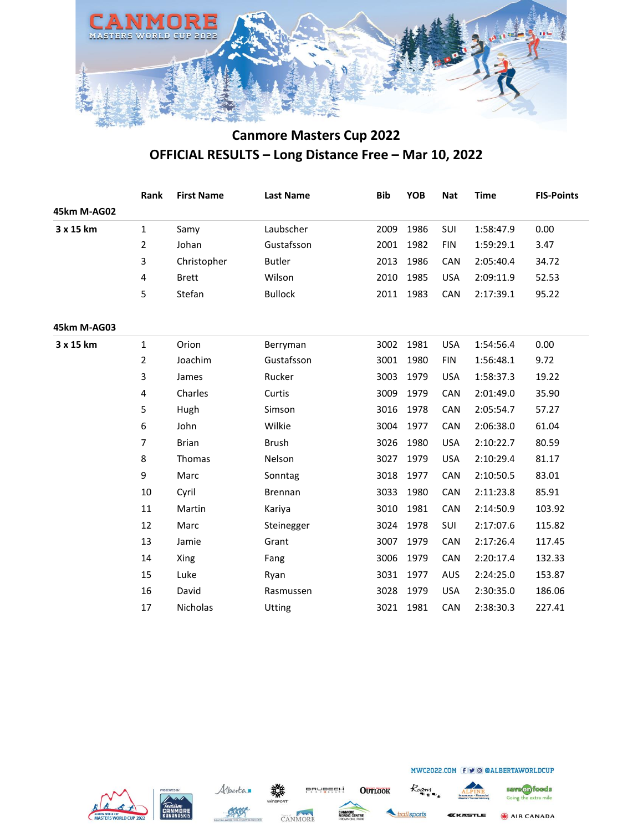

|             | Rank           | <b>First Name</b> | <b>Last Name</b> | <b>Bib</b> | <b>YOB</b> | <b>Nat</b> | <b>Time</b> | <b>FIS-Points</b> |
|-------------|----------------|-------------------|------------------|------------|------------|------------|-------------|-------------------|
| 45km M-AG02 |                |                   |                  |            |            |            |             |                   |
| 3 x 15 km   | 1              | Samy              | Laubscher        | 2009       | 1986       | SUI        | 1:58:47.9   | 0.00              |
|             | $\overline{2}$ | Johan             | Gustafsson       | 2001       | 1982       | <b>FIN</b> | 1:59:29.1   | 3.47              |
|             | 3              | Christopher       | <b>Butler</b>    | 2013       | 1986       | CAN        | 2:05:40.4   | 34.72             |
|             | 4              | <b>Brett</b>      | Wilson           | 2010       | 1985       | <b>USA</b> | 2:09:11.9   | 52.53             |
|             | 5              | Stefan            | <b>Bullock</b>   | 2011       | 1983       | CAN        | 2:17:39.1   | 95.22             |
| 45km M-AG03 |                |                   |                  |            |            |            |             |                   |
| 3 x 15 km   | 1              | Orion             | Berryman         | 3002       | 1981       | <b>USA</b> | 1:54:56.4   | 0.00              |
|             | 2              | Joachim           | Gustafsson       | 3001       | 1980       | <b>FIN</b> | 1:56:48.1   | 9.72              |
|             | 3              | James             | Rucker           | 3003       | 1979       | <b>USA</b> | 1:58:37.3   | 19.22             |
|             | 4              | Charles           | Curtis           | 3009       | 1979       | CAN        | 2:01:49.0   | 35.90             |
|             | 5              | Hugh              | Simson           | 3016       | 1978       | CAN        | 2:05:54.7   | 57.27             |
|             | 6              | John              | Wilkie           | 3004       | 1977       | CAN        | 2:06:38.0   | 61.04             |
|             | 7              | <b>Brian</b>      | <b>Brush</b>     | 3026       | 1980       | <b>USA</b> | 2:10:22.7   | 80.59             |
|             | 8              | Thomas            | Nelson           | 3027       | 1979       | <b>USA</b> | 2:10:29.4   | 81.17             |
|             | 9              | Marc              | Sonntag          | 3018       | 1977       | CAN        | 2:10:50.5   | 83.01             |
|             | 10             | Cyril             | Brennan          | 3033       | 1980       | CAN        | 2:11:23.8   | 85.91             |
|             | 11             | Martin            | Kariya           | 3010       | 1981       | CAN        | 2:14:50.9   | 103.92            |
|             | 12             | Marc              | Steinegger       | 3024       | 1978       | SUI        | 2:17:07.6   | 115.82            |
|             | 13             | Jamie             | Grant            | 3007       | 1979       | CAN        | 2:17:26.4   | 117.45            |
|             | 14             | Xing              | Fang             | 3006       | 1979       | CAN        | 2:20:17.4   | 132.33            |
|             | 15             | Luke              | Ryan             | 3031       | 1977       | <b>AUS</b> | 2:24:25.0   | 153.87            |
|             | 16             | David             | Rasmussen        | 3028       | 1979       | <b>USA</b> | 2:30:35.0   | 186.06            |
|             | 17             | Nicholas          | Utting           | 3021       | 1981       | CAN        | 2:38:30.3   | 227.41            |
|             |                |                   |                  |            |            |            |             |                   |







**OUTLOOK BRUBECH** 

Roam



AIR CANADA

MWC2022.COM f v @ @ALBERTAWORLDCUP

railsports KKASTLE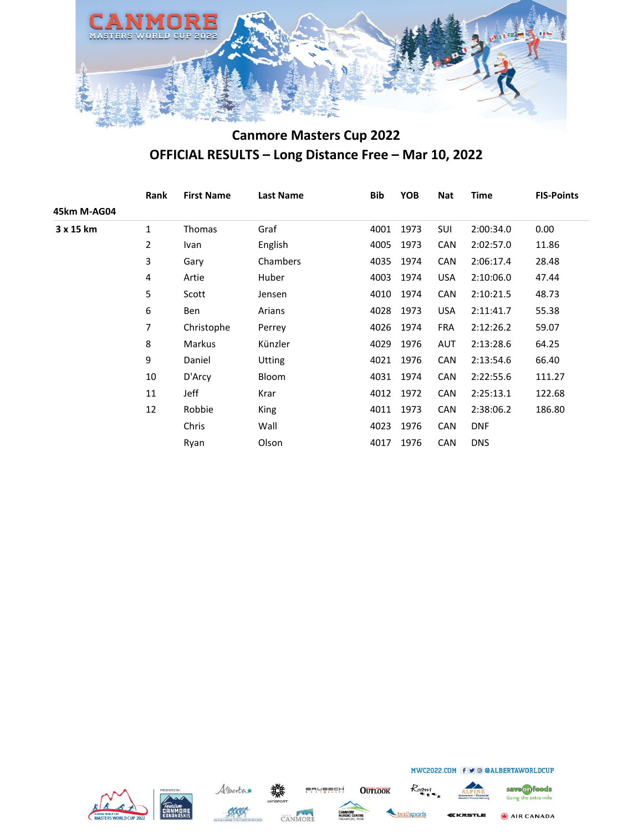

|             | Rank | <b>First Name</b> | <b>Last Name</b> | Bib  | <b>YOB</b> | <b>Nat</b> | <b>Time</b> | <b>FIS-Points</b> |
|-------------|------|-------------------|------------------|------|------------|------------|-------------|-------------------|
| 45km M-AG04 |      |                   |                  |      |            |            |             |                   |
| 3 x 15 km   | 1    | Thomas            | Graf             | 4001 | 1973       | <b>SUI</b> | 2:00:34.0   | 0.00              |
|             | 2    | Ivan              | English          | 4005 | 1973       | <b>CAN</b> | 2:02:57.0   | 11.86             |
|             | 3    | Gary              | Chambers         | 4035 | 1974       | <b>CAN</b> | 2:06:17.4   | 28.48             |
|             | 4    | Artie             | Huber            | 4003 | 1974       | <b>USA</b> | 2:10:06.0   | 47.44             |
|             | 5    | Scott             | Jensen           | 4010 | 1974       | <b>CAN</b> | 2:10:21.5   | 48.73             |
|             | 6    | Ben               | Arians           | 4028 | 1973       | <b>USA</b> | 2:11:41.7   | 55.38             |
|             | 7    | Christophe        | Perrey           |      | 4026 1974  | <b>FRA</b> | 2:12:26.2   | 59.07             |
|             | 8    | Markus            | Künzler          | 4029 | 1976       | AUT        | 2:13:28.6   | 64.25             |
|             | 9    | Daniel            | <b>Utting</b>    | 4021 | 1976       | <b>CAN</b> | 2:13:54.6   | 66.40             |
|             | 10   | D'Arcy            | Bloom            | 4031 | 1974       | <b>CAN</b> | 2:22:55.6   | 111.27            |
|             | 11   | Jeff              | Krar             | 4012 | 1972       | <b>CAN</b> | 2:25:13.1   | 122.68            |
|             | 12   | Robbie            | King             | 4011 | 1973       | <b>CAN</b> | 2:38:06.2   | 186.80            |
|             |      | Chris             | Wall             | 4023 | 1976       | <b>CAN</b> | <b>DNF</b>  |                   |
|             |      | Ryan              | Olson            | 4017 | 1976       | <b>CAN</b> | <b>DNS</b>  |                   |







**BRUBECH** 

**OUTLOOK** 

Roam railsports



MWC2022.COM f v @ @ALBERTAWORLDCUP

save on foods Going the extra mile AIR CANADA

KKASTLE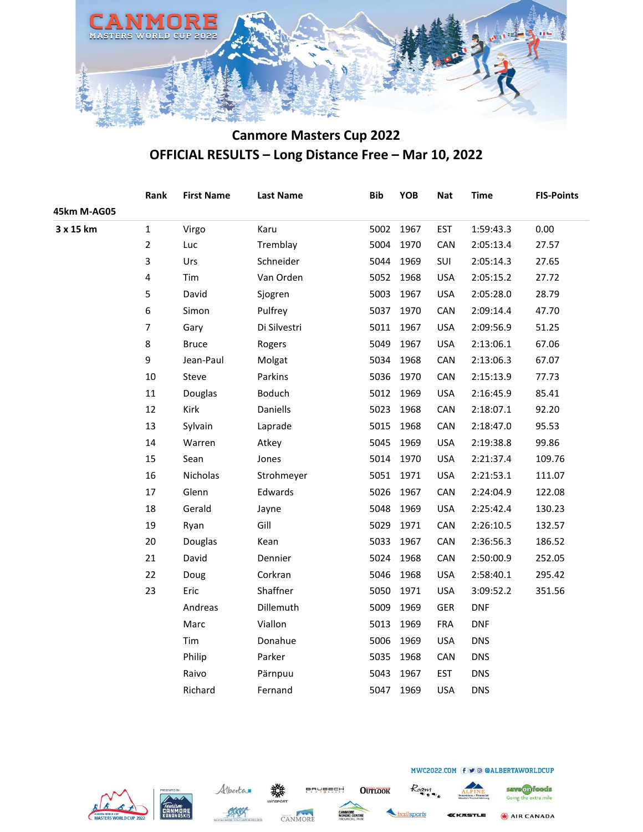

|             | Rank                    | <b>First Name</b> | <b>Last Name</b> | <b>Bib</b> | <b>YOB</b> | <b>Nat</b> | <b>Time</b> | <b>FIS-Points</b> |
|-------------|-------------------------|-------------------|------------------|------------|------------|------------|-------------|-------------------|
| 45km M-AG05 |                         |                   |                  |            |            |            |             |                   |
| 3 x 15 km   | $\mathbf 1$             | Virgo             | Karu             | 5002       | 1967       | <b>EST</b> | 1:59:43.3   | 0.00              |
|             | $\overline{2}$          | Luc               | Tremblay         | 5004       | 1970       | CAN        | 2:05:13.4   | 27.57             |
|             | 3                       | Urs               | Schneider        | 5044       | 1969       | SUI        | 2:05:14.3   | 27.65             |
|             | $\overline{\mathbf{4}}$ | Tim               | Van Orden        | 5052       | 1968       | <b>USA</b> | 2:05:15.2   | 27.72             |
|             | 5                       | David             | Sjogren          | 5003       | 1967       | <b>USA</b> | 2:05:28.0   | 28.79             |
|             | 6                       | Simon             | Pulfrey          | 5037       | 1970       | CAN        | 2:09:14.4   | 47.70             |
|             | $\overline{7}$          | Gary              | Di Silvestri     | 5011       | 1967       | <b>USA</b> | 2:09:56.9   | 51.25             |
|             | 8                       | <b>Bruce</b>      | Rogers           | 5049       | 1967       | <b>USA</b> | 2:13:06.1   | 67.06             |
|             | 9                       | Jean-Paul         | Molgat           | 5034       | 1968       | CAN        | 2:13:06.3   | 67.07             |
|             | 10                      | Steve             | Parkins          | 5036       | 1970       | CAN        | 2:15:13.9   | 77.73             |
|             | $11\,$                  | Douglas           | Boduch           | 5012       | 1969       | <b>USA</b> | 2:16:45.9   | 85.41             |
|             | 12                      | Kirk              | Daniells         | 5023       | 1968       | CAN        | 2:18:07.1   | 92.20             |
|             | 13                      | Sylvain           | Laprade          | 5015       | 1968       | CAN        | 2:18:47.0   | 95.53             |
|             | 14                      | Warren            | Atkey            | 5045       | 1969       | <b>USA</b> | 2:19:38.8   | 99.86             |
|             | 15                      | Sean              | Jones            | 5014       | 1970       | <b>USA</b> | 2:21:37.4   | 109.76            |
|             | 16                      | Nicholas          | Strohmeyer       | 5051       | 1971       | <b>USA</b> | 2:21:53.1   | 111.07            |
|             | 17                      | Glenn             | Edwards          | 5026       | 1967       | CAN        | 2:24:04.9   | 122.08            |
|             | 18                      | Gerald            | Jayne            | 5048       | 1969       | <b>USA</b> | 2:25:42.4   | 130.23            |
|             | 19                      | Ryan              | Gill             | 5029       | 1971       | CAN        | 2:26:10.5   | 132.57            |
|             | 20                      | Douglas           | Kean             | 5033       | 1967       | CAN        | 2:36:56.3   | 186.52            |
|             | 21                      | David             | Dennier          | 5024       | 1968       | CAN        | 2:50:00.9   | 252.05            |
|             | 22                      | Doug              | Corkran          | 5046       | 1968       | <b>USA</b> | 2:58:40.1   | 295.42            |
|             | 23                      | Eric              | Shaffner         | 5050       | 1971       | <b>USA</b> | 3:09:52.2   | 351.56            |
|             |                         | Andreas           | Dillemuth        | 5009       | 1969       | <b>GER</b> | <b>DNF</b>  |                   |
|             |                         | Marc              | Viallon          | 5013       | 1969       | <b>FRA</b> | <b>DNF</b>  |                   |
|             |                         | Tim               | Donahue          | 5006       | 1969       | <b>USA</b> | <b>DNS</b>  |                   |
|             |                         | Philip            | Parker           | 5035       | 1968       | CAN        | <b>DNS</b>  |                   |
|             |                         | Raivo             | Pärnpuu          | 5043       | 1967       | <b>EST</b> | <b>DNS</b>  |                   |
|             |                         | Richard           | Fernand          | 5047       | 1969       | <b>USA</b> | <b>DNS</b>  |                   |
|             |                         |                   |                  |            |            |            |             |                   |







**OUTLOOK** 

**BRUBECH** 

railsports

Roam

AIR CANADA KKASTLE

save on foods

Going the extra mile